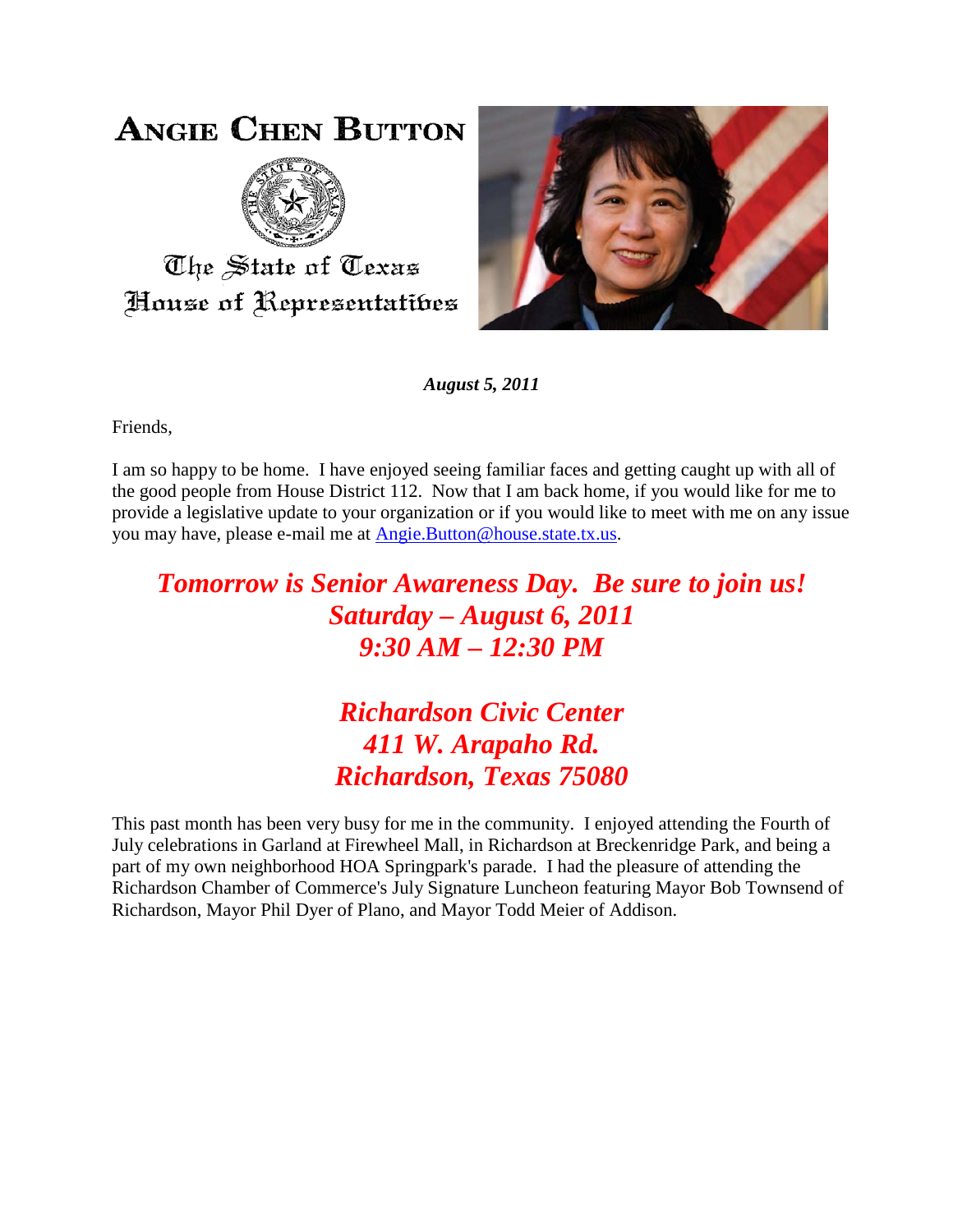## **ANGIE CHEN BUTTON**



The State of Texas House of Representatibes



*August 5, 2011*

Friends,

I am so happy to be home. I have enjoyed seeing familiar faces and getting caught up with all of the good people from House District 112. Now that I am back home, if you would like for me to provide a legislative update to your organization or if you would like to meet with me on any issue you may have, please e-mail me at [Angie.Button@house.state.tx.us.](mailto:Angie.Button@house.state.tx.us)

## *Tomorrow is Senior Awareness Day. Be sure to join us! Saturday – August 6, 2011 9:30 AM – 12:30 PM*

## *Richardson Civic Center 411 W. Arapaho Rd. Richardson, Texas 75080*

This past month has been very busy for me in the community. I enjoyed attending the Fourth of July celebrations in Garland at Firewheel Mall, in Richardson at Breckenridge Park, and being a part of my own neighborhood HOA Springpark's parade. I had the pleasure of attending the Richardson Chamber of Commerce's July Signature Luncheon featuring Mayor Bob Townsend of Richardson, Mayor Phil Dyer of Plano, and Mayor Todd Meier of Addison.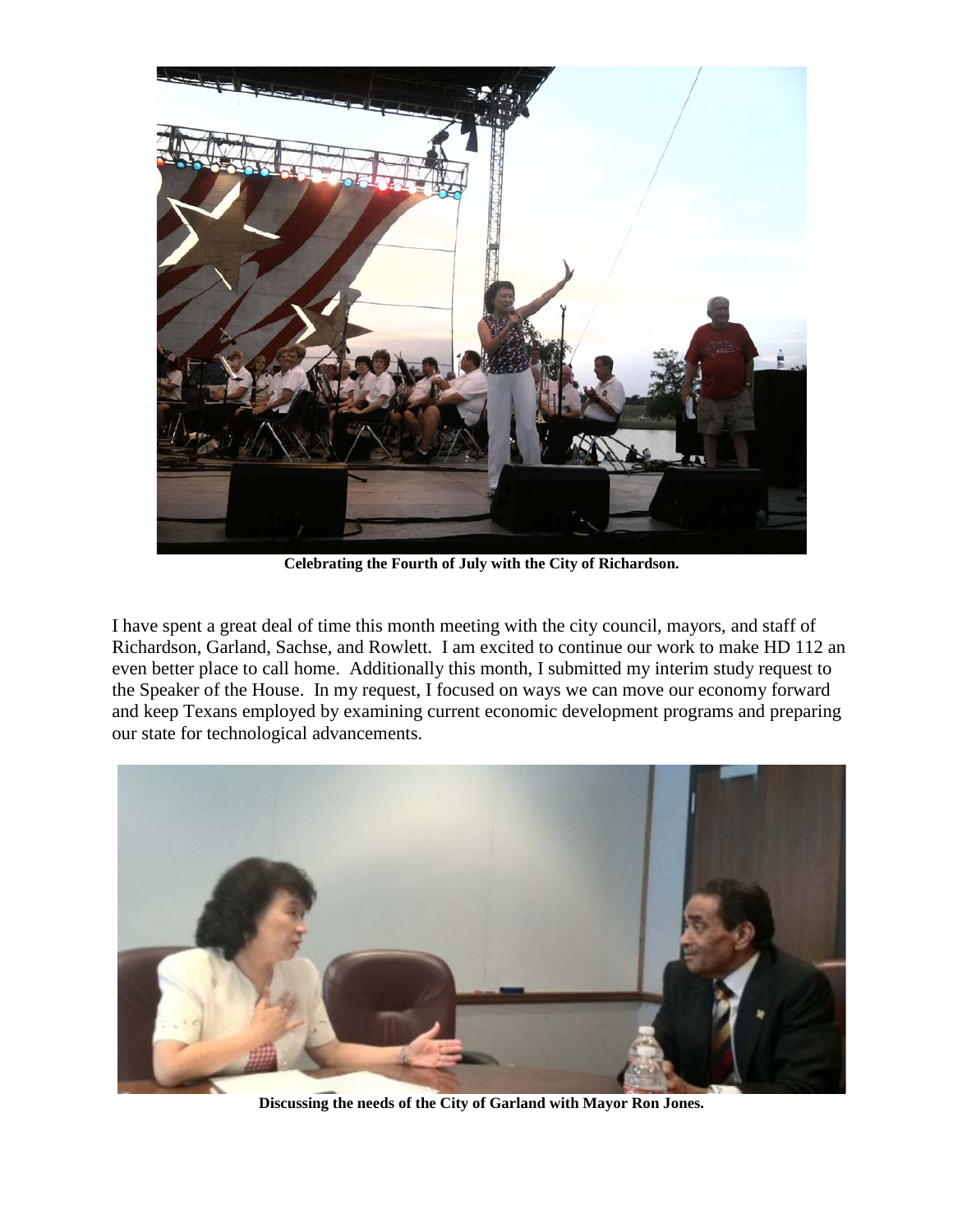

**Celebrating the Fourth of July with the City of Richardson.**

I have spent a great deal of time this month meeting with the city council, mayors, and staff of Richardson, Garland, Sachse, and Rowlett. I am excited to continue our work to make HD 112 an even better place to call home. Additionally this month, I submitted my interim study request to the Speaker of the House. In my request, I focused on ways we can move our economy forward and keep Texans employed by examining current economic development programs and preparing our state for technological advancements.



**Discussing the needs of the City of Garland with Mayor Ron Jones.**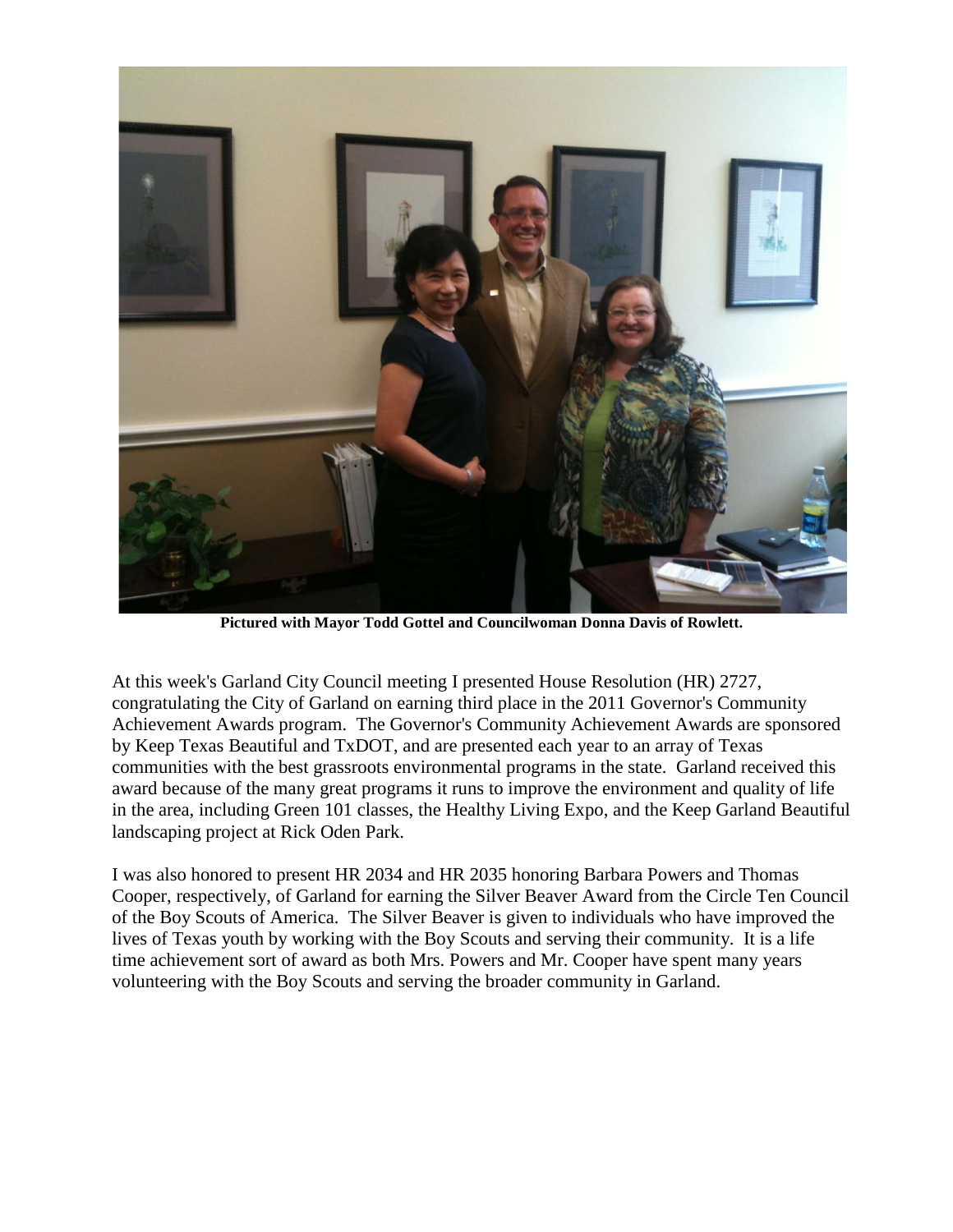

**Pictured with Mayor Todd Gottel and Councilwoman Donna Davis of Rowlett.**

At this week's Garland City Council meeting I presented House Resolution (HR) 2727, congratulating the City of Garland on earning third place in the 2011 Governor's Community Achievement Awards program. The Governor's Community Achievement Awards are sponsored by Keep Texas Beautiful and TxDOT, and are presented each year to an array of Texas communities with the best grassroots environmental programs in the state. Garland received this award because of the many great programs it runs to improve the environment and quality of life in the area, including Green 101 classes, the Healthy Living Expo, and the Keep Garland Beautiful landscaping project at Rick Oden Park.

I was also honored to present HR 2034 and HR 2035 honoring Barbara Powers and Thomas Cooper, respectively, of Garland for earning the Silver Beaver Award from the Circle Ten Council of the Boy Scouts of America. The Silver Beaver is given to individuals who have improved the lives of Texas youth by working with the Boy Scouts and serving their community. It is a life time achievement sort of award as both Mrs. Powers and Mr. Cooper have spent many years volunteering with the Boy Scouts and serving the broader community in Garland.